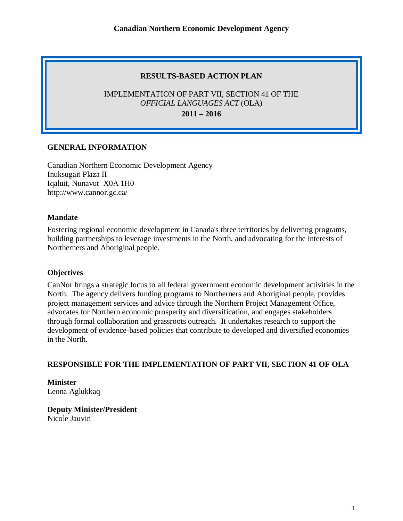### **RESULTS-BASED ACTION PLAN**

## IMPLEMENTATION OF PART VII, SECTION 41 OF THE *OFFICIAL LANGUAGES ACT* (OLA)

**2011 – 2016**

### **GENERAL INFORMATION**

Canadian Northern Economic Development Agency Inuksugait Plaza II Iqaluit, Nunavut X0A 1H0 <http://www.cannor.gc.ca/>

#### **Mandate**

Fostering regional economic development in Canada's three territories by delivering programs, building partnerships to leverage investments in the North, and advocating for the interests of Northerners and Aboriginal people.

#### **Objectives**

CanNor brings a strategic focus to all federal government economic development activities in the North. The agency delivers funding programs to Northerners and Aboriginal people, provides project management services and advice through the Northern Project Management Office, advocates for Northern economic prosperity and diversification, and engages stakeholders through formal collaboration and grassroots outreach. It undertakes research to support the development of evidence-based policies that contribute to developed and diversified economies in the North.

### **RESPONSIBLE FOR THE IMPLEMENTATION OF PART VII, SECTION 41 OF OLA**

**Minister** Leona Aglukkaq

**Deputy Minister/President** Nicole Jauvin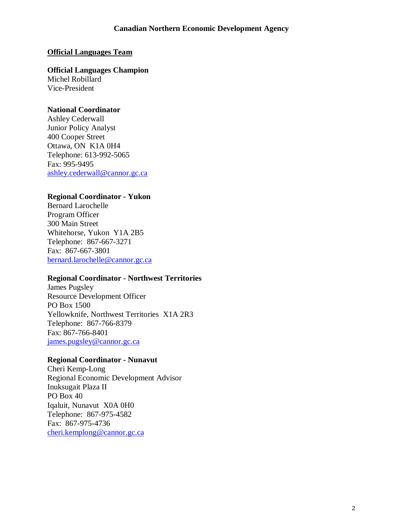#### **Official Languages Team**

**Official Languages Champion** Michel Robillard Vice-President

#### **National Coordinator**

Ashley Cederwall Junior Policy Analyst 400 Cooper Street Ottawa, ON K1A 0H4 Telephone: 613-992-5065 Fax: 995-9495 [ashley.cederwall@cannor.gc.ca](mailto:ashley.cederwall@cannor.gc.ca)

#### **Regional Coordinator - Yukon**

Bernard Larochelle Program Officer 300 Main Street Whitehorse, Yukon Y1A 2B5 Telephone: 867-667-3271 Fax: 867-667-3801 [bernard.larochelle@cannor.gc.ca](mailto:bernard.larochelle@cannor.gc.ca)

#### **Regional Coordinator - Northwest Territories**

James Pugsley Resource Development Officer PO Box 1500 Yellowknife, Northwest Territories X1A 2R3 Telephone: 867-766-8379 Fax: 867-766-8401 [james.pugsley@cannor.gc.ca](mailto:james.pugsley@cannor.gc.ca)

#### **Regional Coordinator - Nunavut**

Cheri Kemp-Long Regional Economic Development Advisor Inuksugait Plaza II PO Box 40 Iqaluit, Nunavut X0A 0H0 Telephone: 867-975-4582 Fax: 867-975-4736 [cheri.kemplong@cannor.gc.ca](mailto:cheri.kemplong@cannor.gc.ca)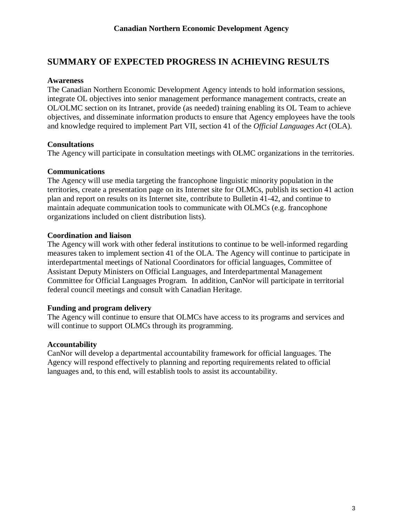## **SUMMARY OF EXPECTED PROGRESS IN ACHIEVING RESULTS**

#### **Awareness**

The Canadian Northern Economic Development Agency intends to hold information sessions, integrate OL objectives into senior management performance management contracts, create an OL/OLMC section on its Intranet, provide (as needed) training enabling its OL Team to achieve objectives, and disseminate information products to ensure that Agency employees have the tools and knowledge required to implement Part VII, section 41 of the *Official Languages Act* (OLA).

### **Consultations**

The Agency will participate in consultation meetings with OLMC organizations in the territories.

### **Communications**

The Agency will use media targeting the francophone linguistic minority population in the territories, create a presentation page on its Internet site for OLMCs, publish its section 41 action plan and report on results on its Internet site, contribute to Bulletin 41-42, and continue to maintain adequate communication tools to communicate with OLMCs (e.g. francophone organizations included on client distribution lists).

### **Coordination and liaison**

The Agency will work with other federal institutions to continue to be well-informed regarding measures taken to implement section 41 of the OLA. The Agency will continue to participate in interdepartmental meetings of National Coordinators for official languages, Committee of Assistant Deputy Ministers on Official Languages, and Interdepartmental Management Committee for Official Languages Program. In addition, CanNor will participate in territorial federal council meetings and consult with Canadian Heritage.

### **Funding and program delivery**

The Agency will continue to ensure that OLMCs have access to its programs and services and will continue to support OLMCs through its programming.

### **Accountability**

CanNor will develop a departmental accountability framework for official languages. The Agency will respond effectively to planning and reporting requirements related to official languages and, to this end, will establish tools to assist its accountability.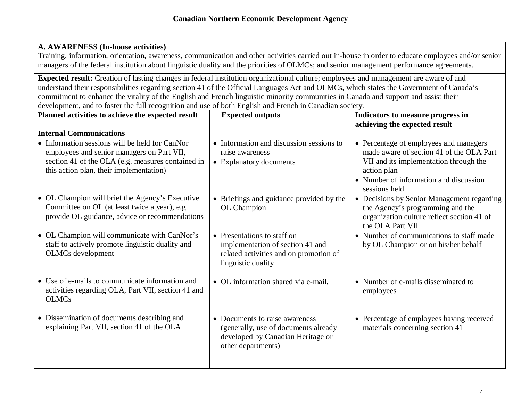### **A. AWARENESS (In-house activities)**

Training, information, orientation, awareness, communication and other activities carried out in-house in order to educate employees and/or senior managers of the federal institution about linguistic duality and the priorities of OLMCs; and senior management performance agreements.

**Expected result:** Creation of lasting changes in federal institution organizational culture; employees and management are aware of and understand their responsibilities regarding section 41 of the Official Languages Act and OLMCs, which states the Government of Canada's commitment to enhance the vitality of the English and French linguistic minority communities in Canada and support and assist their development, and to foster the full recognition and use of both English and French in Canadian society.

| Planned activities to achieve the expected result                                                                                                                                            | <b>Expected outputs</b>                                                                                                           | Indicators to measure progress in                                                                                                                                                     |
|----------------------------------------------------------------------------------------------------------------------------------------------------------------------------------------------|-----------------------------------------------------------------------------------------------------------------------------------|---------------------------------------------------------------------------------------------------------------------------------------------------------------------------------------|
|                                                                                                                                                                                              |                                                                                                                                   | achieving the expected result                                                                                                                                                         |
| <b>Internal Communications</b>                                                                                                                                                               |                                                                                                                                   |                                                                                                                                                                                       |
| • Information sessions will be held for CanNor<br>employees and senior managers on Part VII,<br>section 41 of the OLA (e.g. measures contained in<br>this action plan, their implementation) | • Information and discussion sessions to<br>raise awareness<br>• Explanatory documents                                            | • Percentage of employees and managers<br>made aware of section 41 of the OLA Part<br>VII and its implementation through the<br>action plan<br>• Number of information and discussion |
| • OL Champion will brief the Agency's Executive<br>Committee on OL (at least twice a year), e.g.<br>provide OL guidance, advice or recommendations                                           | • Briefings and guidance provided by the<br>OL Champion                                                                           | sessions held<br>• Decisions by Senior Management regarding<br>the Agency's programming and the<br>organization culture reflect section 41 of<br>the OLA Part VII                     |
| • OL Champion will communicate with CanNor's<br>staff to actively promote linguistic duality and<br>OLMCs development                                                                        | • Presentations to staff on<br>implementation of section 41 and<br>related activities and on promotion of<br>linguistic duality   | • Number of communications to staff made<br>by OL Champion or on his/her behalf                                                                                                       |
| • Use of e-mails to communicate information and<br>activities regarding OLA, Part VII, section 41 and<br><b>OLMCs</b>                                                                        | • OL information shared via e-mail.                                                                                               | • Number of e-mails disseminated to<br>employees                                                                                                                                      |
| • Dissemination of documents describing and<br>explaining Part VII, section 41 of the OLA                                                                                                    | • Documents to raise awareness<br>(generally, use of documents already<br>developed by Canadian Heritage or<br>other departments) | • Percentage of employees having received<br>materials concerning section 41                                                                                                          |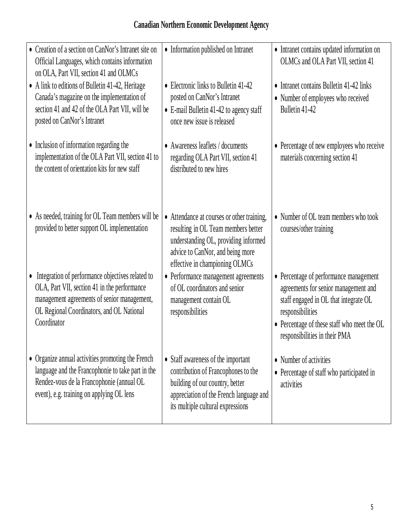# **Canadian Northern Economic Development Agency**

| • Creation of a section on CanNor's Intranet site on<br>Official Languages, which contains information<br>on OLA, Part VII, section 41 and OLMCs                                                              | • Information published on Intranet                                                                                                                                                             | • Intranet contains updated information on<br>OLMCs and OLA Part VII, section 41                                                                                                                                            |
|---------------------------------------------------------------------------------------------------------------------------------------------------------------------------------------------------------------|-------------------------------------------------------------------------------------------------------------------------------------------------------------------------------------------------|-----------------------------------------------------------------------------------------------------------------------------------------------------------------------------------------------------------------------------|
| • A link to editions of Bulletin 41-42, Heritage<br>Canada's magazine on the implementation of<br>section 41 and 42 of the OLA Part VII, will be<br>posted on CanNor's Intranet                               | • Electronic links to Bulletin 41-42<br>posted on CanNor's Intranet<br>• E-mail Bulletin 41-42 to agency staff<br>once new issue is released                                                    | • Intranet contains Bulletin 41-42 links<br>• Number of employees who received<br>Bulletin 41-42                                                                                                                            |
| • Inclusion of information regarding the<br>implementation of the OLA Part VII, section 41 to<br>the content of orientation kits for new staff                                                                | • Awareness leaflets / documents<br>regarding OLA Part VII, section 41<br>distributed to new hires                                                                                              | • Percentage of new employees who receive<br>materials concerning section 41                                                                                                                                                |
| • As needed, training for OL Team members will be<br>provided to better support OL implementation                                                                                                             | • Attendance at courses or other training,<br>resulting in OL Team members better<br>understanding OL, providing informed<br>advice to CanNor, and being more<br>effective in championing OLMCs | • Number of OL team members who took<br>courses/other training                                                                                                                                                              |
| • Integration of performance objectives related to<br>OLA, Part VII, section 41 in the performance<br>management agreements of senior management,<br>OL Regional Coordinators, and OL National<br>Coordinator | • Performance management agreements<br>of OL coordinators and senior<br>management contain OL<br>responsibilities                                                                               | • Percentage of performance management<br>agreements for senior management and<br>staff engaged in OL that integrate OL<br>responsibilities<br>• Percentage of these staff who meet the OL<br>responsibilities in their PMA |
| • Organize annual activities promoting the French<br>language and the Francophonie to take part in the<br>Rendez-vous de la Francophonie (annual OL<br>event), e.g. training on applying OL lens              | • Staff awareness of the important<br>contribution of Francophones to the<br>building of our country, better<br>appreciation of the French language and<br>its multiple cultural expressions    | • Number of activities<br>• Percentage of staff who participated in<br>activities                                                                                                                                           |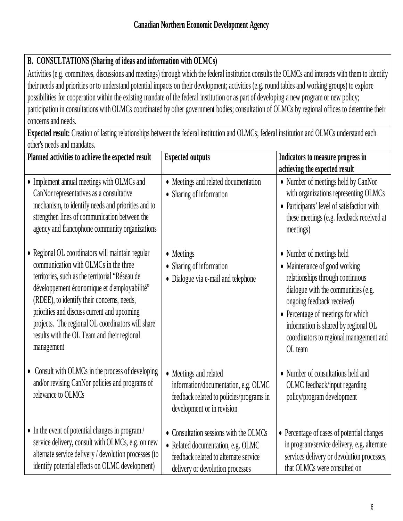# **B. CONSULTATIONS (Sharing of ideas and information with OLMCs)**

Activities (e.g. committees, discussions and meetings) through which the federal institution consults the OLMCs and interacts with them to identify their needs and priorities or to understand potential impacts on their development; activities (e.g. round tables and working groups) to explore possibilities for cooperation within the existing mandate of the federal institution or as part of developing a new program or new policy; participation in consultations with OLMCs coordinated by other government bodies; consultation of OLMCs by regional offices to determine their concerns and needs.

**Expected result:** Creation of lasting relationships between the federal institution and OLMCs; federal institution and OLMCs understand each other's needs and mandates.

| Planned activities to achieve the expected result                                                                                                                                                                                                                                                                                                                                                           | <b>Expected outputs</b>                                                                                                                                   | Indicators to measure progress in<br>achieving the expected result                                                                                                                                                                                                                                      |
|-------------------------------------------------------------------------------------------------------------------------------------------------------------------------------------------------------------------------------------------------------------------------------------------------------------------------------------------------------------------------------------------------------------|-----------------------------------------------------------------------------------------------------------------------------------------------------------|---------------------------------------------------------------------------------------------------------------------------------------------------------------------------------------------------------------------------------------------------------------------------------------------------------|
| • Implement annual meetings with OLMCs and<br>CanNor representatives as a consultative<br>mechanism, to identify needs and priorities and to<br>strengthen lines of communication between the<br>agency and francophone community organizations                                                                                                                                                             | • Meetings and related documentation<br>• Sharing of information                                                                                          | • Number of meetings held by CanNor<br>with organizations representing OLMCs<br>• Participants' level of satisfaction with<br>these meetings (e.g. feedback received at<br>meetings)                                                                                                                    |
| • Regional OL coordinators will maintain regular<br>communication with OLMCs in the three<br>territories, such as the territorial "Réseau de<br>développement économique et d'employabilité"<br>(RDEE), to identify their concerns, needs,<br>priorities and discuss current and upcoming<br>projects. The regional OL coordinators will share<br>results with the OL Team and their regional<br>management | • Meetings<br>• Sharing of information<br>• Dialogue via e-mail and telephone                                                                             | • Number of meetings held<br>• Maintenance of good working<br>relationships through continuous<br>dialogue with the communities (e.g.<br>ongoing feedback received)<br>• Percentage of meetings for which<br>information is shared by regional OL<br>coordinators to regional management and<br>OL team |
| • Consult with OLMCs in the process of developing<br>and/or revising CanNor policies and programs of<br>relevance to OLMCs                                                                                                                                                                                                                                                                                  | • Meetings and related<br>information/documentation, e.g. OLMC<br>feedback related to policies/programs in<br>development or in revision                  | • Number of consultations held and<br>OLMC feedback/input regarding<br>policy/program development                                                                                                                                                                                                       |
| • In the event of potential changes in program /<br>service delivery, consult with OLMCs, e.g. on new<br>alternate service delivery / devolution processes (to<br>identify potential effects on OLMC development)                                                                                                                                                                                           | • Consultation sessions with the OLMCs<br>• Related documentation, e.g. OLMC<br>feedback related to alternate service<br>delivery or devolution processes | • Percentage of cases of potential changes<br>in program/service delivery, e.g. alternate<br>services delivery or devolution processes,<br>that OLMCs were consulted on                                                                                                                                 |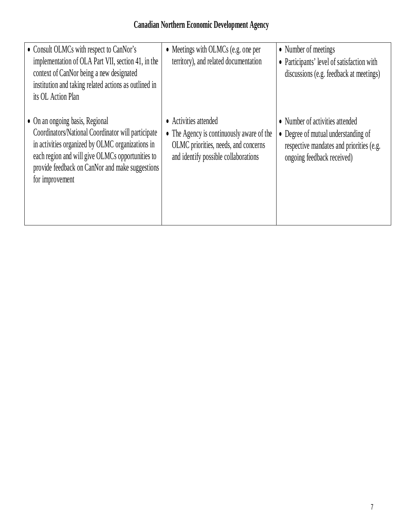| • Consult OLMCs with respect to CanNor's<br>implementation of OLA Part VII, section 41, in the<br>context of CanNor being a new designated<br>institution and taking related actions as outlined in<br>its OL Action Plan                                           | $\bullet$ Meetings with OLMCs (e.g. one per<br>territory), and related documentation                                                                          | • Number of meetings<br>• Participants' level of satisfaction with<br>discussions (e.g. feedback at meetings)                                    |
|---------------------------------------------------------------------------------------------------------------------------------------------------------------------------------------------------------------------------------------------------------------------|---------------------------------------------------------------------------------------------------------------------------------------------------------------|--------------------------------------------------------------------------------------------------------------------------------------------------|
| • On an ongoing basis, Regional<br>Coordinators/National Coordinator will participate<br>in activities organized by OLMC organizations in<br>each region and will give OLMCs opportunities to<br>provide feedback on CanNor and make suggestions<br>for improvement | Activities attended<br>$\bullet$<br>• The Agency is continuously aware of the<br>OLMC priorities, needs, and concerns<br>and identify possible collaborations | • Number of activities attended<br>• Degree of mutual understanding of<br>respective mandates and priorities (e.g.<br>ongoing feedback received) |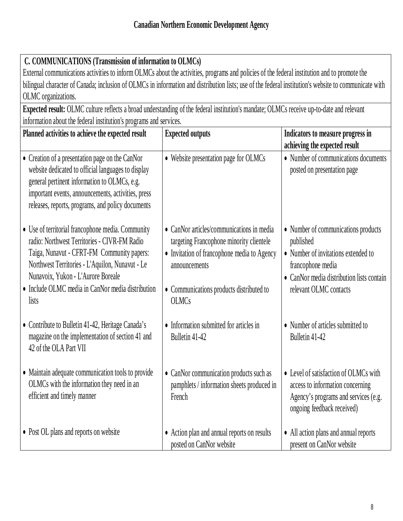# **C. COMMUNICATIONS (Transmission of information to OLMCs)**

External communications activities to inform OLMCs about the activities, programs and policies of the federal institution and to promote the bilingual character of Canada; inclusion of OLMCs in information and distribution lists; use of the federal institution's website to communicate with OLMC organizations.

**Expected result:** OLMC culture reflects a broad understanding of the federal institution's mandate; OLMCs receive up-to-date and relevant information about the federal institution's programs and services.

| Planned activities to achieve the expected result                                                                                                                                                                                                                                                      | <b>Expected outputs</b>                                                                                                                                                                                           | Indicators to measure progress in<br>achieving the expected result                                                                                                                  |
|--------------------------------------------------------------------------------------------------------------------------------------------------------------------------------------------------------------------------------------------------------------------------------------------------------|-------------------------------------------------------------------------------------------------------------------------------------------------------------------------------------------------------------------|-------------------------------------------------------------------------------------------------------------------------------------------------------------------------------------|
| • Creation of a presentation page on the CanNor<br>website dedicated to official languages to display<br>general pertinent information to OLMCs, e.g.<br>important events, announcements, activities, press<br>releases, reports, programs, and policy documents                                       | • Website presentation page for OLMCs                                                                                                                                                                             | • Number of communications documents<br>posted on presentation page                                                                                                                 |
| • Use of territorial francophone media. Community<br>radio: Northwest Territories - CIVR-FM Radio<br>Taiga, Nunavut - CFRT-FM Community papers:<br>Northwest Territories - L'Aquilon, Nunavut - Le<br>Nunavoix, Yukon - L'Aurore Boreale<br>• Include OLMC media in CanNor media distribution<br>lists | • CanNor articles/communications in media<br>targeting Francophone minority clientele<br>• Invitation of francophone media to Agency<br>announcements<br>• Communications products distributed to<br><b>OLMCs</b> | • Number of communications products<br>published<br>• Number of invitations extended to<br>francophone media<br>• CanNor media distribution lists contain<br>relevant OLMC contacts |
| • Contribute to Bulletin 41-42, Heritage Canada's<br>magazine on the implementation of section 41 and<br>42 of the OLA Part VII                                                                                                                                                                        | • Information submitted for articles in<br>Bulletin 41-42                                                                                                                                                         | • Number of articles submitted to<br>Bulletin 41-42                                                                                                                                 |
| • Maintain adequate communication tools to provide<br>OLMCs with the information they need in an<br>efficient and timely manner                                                                                                                                                                        | • CanNor communication products such as<br>pamphlets / information sheets produced in<br>French                                                                                                                   | • Level of satisfaction of OLMCs with<br>access to information concerning<br>Agency's programs and services (e.g.<br>ongoing feedback received)                                     |
| • Post OL plans and reports on website                                                                                                                                                                                                                                                                 | • Action plan and annual reports on results<br>posted on CanNor website                                                                                                                                           | • All action plans and annual reports<br>present on CanNor website                                                                                                                  |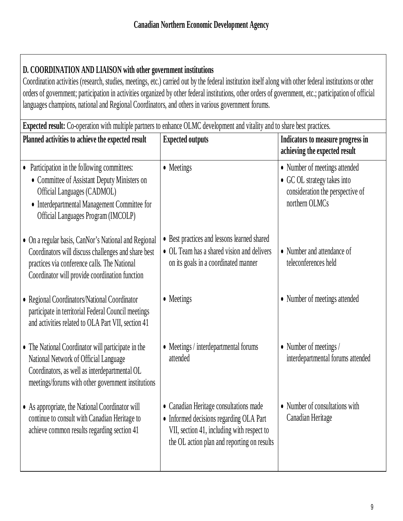# **D. COORDINATION AND LIAISON with other government institutions**

Coordination activities (research, studies, meetings, etc.) carried out by the federal institution itself along with other federal institutions or other orders of government; participation in activities organized by other federal institutions, other orders of government, etc.; participation of official languages champions, national and Regional Coordinators, and others in various government forums.

**Expected result:** Co-operation with multiple partners to enhance OLMC development and vitality and to share best practices. **Planned activities to achieve the expected result Expected outputs Indicators to measure progress in achieving the expected result** • Participation in the following committees: Committee of Assistant Deputy Ministers on Official Languages (CADMOL) Interdepartmental Management Committee for Official Languages Program (IMCOLP) On a regular basis, CanNor's National and Regional Coordinators will discuss challenges and share best practices via conference calls. The National Coordinator will provide coordination function Regional Coordinators/National Coordinator participate in territorial Federal Council meetings and activities related to OLA Part VII, section 41 • The National Coordinator will participate in the National Network of Official Language Coordinators, as well as interdepartmental OL meetings/forums with other government institutions As appropriate, the National Coordinator will continue to consult with Canadian Heritage to achieve common results regarding section 41 • Meetings • Best practices and lessons learned shared OL Team has a shared vision and delivers on its goals in a coordinated manner • Meetings • Meetings / interdepartmental forums attended • Canadian Heritage consultations made • Informed decisions regarding OLA Part VII, section 41, including with respect to the OL action plan and reporting on results • Number of meetings attended • GC OL strategy takes into consideration the perspective of northern OLMCs • Number and attendance of teleconferences held • Number of meetings attended • Number of meetings / interdepartmental forums attended • Number of consultations with Canadian Heritage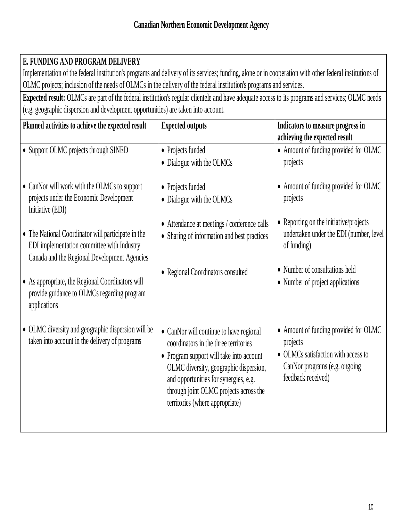# **E. FUNDING AND PROGRAM DELIVERY**

Implementation of the federal institution's programs and delivery of its services; funding, alone or in cooperation with other federal institutions of OLMC projects; inclusion of the needs of OLMCs in the delivery of the federal institution's programs and services.

**Expected result:** OLMCs are part of the federal institution's regular clientele and have adequate access to its programs and services; OLMC needs (e.g. geographic dispersion and development opportunities) are taken into account.

| Planned activities to achieve the expected result                                                                                                | <b>Expected outputs</b>                                                                                                                                                                                  | Indicators to measure progress in                                                          |
|--------------------------------------------------------------------------------------------------------------------------------------------------|----------------------------------------------------------------------------------------------------------------------------------------------------------------------------------------------------------|--------------------------------------------------------------------------------------------|
|                                                                                                                                                  |                                                                                                                                                                                                          | achieving the expected result                                                              |
| • Support OLMC projects through SINED                                                                                                            | • Projects funded                                                                                                                                                                                        | • Amount of funding provided for OLMC                                                      |
|                                                                                                                                                  | • Dialogue with the OLMCs                                                                                                                                                                                | projects                                                                                   |
| • CanNor will work with the OLMCs to support                                                                                                     | • Projects funded                                                                                                                                                                                        | • Amount of funding provided for OLMC                                                      |
| projects under the Economic Development<br>Initiative (EDI)                                                                                      | • Dialogue with the OLMCs                                                                                                                                                                                | projects                                                                                   |
|                                                                                                                                                  | • Attendance at meetings / conference calls                                                                                                                                                              | • Reporting on the initiative/projects                                                     |
| • The National Coordinator will participate in the<br>EDI implementation committee with Industry<br>Canada and the Regional Development Agencies | • Sharing of information and best practices                                                                                                                                                              | undertaken under the EDI (number, level<br>of funding)                                     |
|                                                                                                                                                  | • Regional Coordinators consulted                                                                                                                                                                        | • Number of consultations held                                                             |
| • As appropriate, the Regional Coordinators will<br>provide guidance to OLMCs regarding program<br>applications                                  |                                                                                                                                                                                                          | • Number of project applications                                                           |
| • OLMC diversity and geographic dispersion will be<br>taken into account in the delivery of programs                                             | • CanNor will continue to have regional<br>coordinators in the three territories                                                                                                                         | • Amount of funding provided for OLMC<br>projects                                          |
|                                                                                                                                                  | • Program support will take into account<br>OLMC diversity, geographic dispersion,<br>and opportunities for synergies, e.g.<br>through joint OLMC projects across the<br>territories (where appropriate) | • OLMCs satisfaction with access to<br>CanNor programs (e.g. ongoing<br>feedback received) |
|                                                                                                                                                  |                                                                                                                                                                                                          |                                                                                            |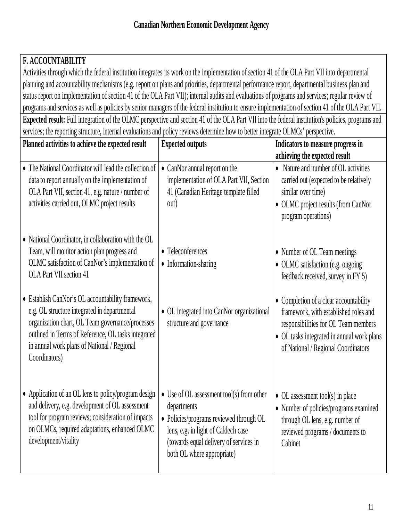| <b>F. ACCOUNTABILITY</b>                                                                                                                                                                                                                                                     |                                                                                                                                                                                                                            |                                                                                                                                                                                                              |
|------------------------------------------------------------------------------------------------------------------------------------------------------------------------------------------------------------------------------------------------------------------------------|----------------------------------------------------------------------------------------------------------------------------------------------------------------------------------------------------------------------------|--------------------------------------------------------------------------------------------------------------------------------------------------------------------------------------------------------------|
| Activities through which the federal institution integrates its work on the implementation of section 41 of the OLA Part VII into departmental                                                                                                                               |                                                                                                                                                                                                                            |                                                                                                                                                                                                              |
| planning and accountability mechanisms (e.g. report on plans and priorities, departmental performance report, departmental business plan and                                                                                                                                 |                                                                                                                                                                                                                            |                                                                                                                                                                                                              |
| status report on implementation of section 41 of the OLA Part VII); internal audits and evaluations of programs and services; regular review of                                                                                                                              |                                                                                                                                                                                                                            |                                                                                                                                                                                                              |
| programs and services as well as policies by senior managers of the federal institution to ensure implementation of section 41 of the OLA Part VII.                                                                                                                          |                                                                                                                                                                                                                            |                                                                                                                                                                                                              |
| <b>Expected result:</b> Full integration of the OLMC perspective and section 41 of the OLA Part VII into the federal institution's policies, programs and                                                                                                                    |                                                                                                                                                                                                                            |                                                                                                                                                                                                              |
| services; the reporting structure, internal evaluations and policy reviews determine how to better integrate OLMCs' perspective.                                                                                                                                             |                                                                                                                                                                                                                            |                                                                                                                                                                                                              |
| Planned activities to achieve the expected result                                                                                                                                                                                                                            | <b>Expected outputs</b>                                                                                                                                                                                                    | Indicators to measure progress in                                                                                                                                                                            |
|                                                                                                                                                                                                                                                                              |                                                                                                                                                                                                                            | achieving the expected result                                                                                                                                                                                |
| • The National Coordinator will lead the collection of<br>data to report annually on the implementation of<br>OLA Part VII, section 41, e.g. nature / number of<br>activities carried out, OLMC project results                                                              | • CanNor annual report on the<br>implementation of OLA Part VII, Section<br>41 (Canadian Heritage template filled<br>out)                                                                                                  | • Nature and number of OL activities<br>carried out (expected to be relatively<br>similar over time)<br>• OLMC project results (from CanNor<br>program operations)                                           |
| • National Coordinator, in collaboration with the OL<br>Team, will monitor action plan progress and<br>OLMC satisfaction of CanNor's implementation of<br>OLA Part VII section 41                                                                                            | • Teleconferences<br>• Information-sharing                                                                                                                                                                                 | • Number of OL Team meetings<br>• OLMC satisfaction (e.g. ongoing<br>feedback received, survey in FY 5)                                                                                                      |
| • Establish CanNor's OL accountability framework,<br>e.g. OL structure integrated in departmental<br>organization chart, OL Team governance/processes<br>outlined in Terms of Reference, OL tasks integrated<br>in annual work plans of National / Regional<br>Coordinators) | • OL integrated into CanNor organizational<br>structure and governance                                                                                                                                                     | • Completion of a clear accountability<br>framework, with established roles and<br>responsibilities for OL Team members<br>• OL tasks integrated in annual work plans<br>of National / Regional Coordinators |
| • Application of an OL lens to policy/program design<br>and delivery, e.g. development of OL assessment<br>tool for program reviews; consideration of impacts<br>on OLMCs, required adaptations, enhanced OLMC<br>development/vitality                                       | $\bullet$ Use of OL assessment tool(s) from other<br>departments<br>• Policies/programs reviewed through OL<br>lens, e.g. in light of Caldech case<br>(towards equal delivery of services in<br>both OL where appropriate) | $\bullet$ OL assessment tool(s) in place<br>• Number of policies/programs examined<br>through OL lens, e.g. number of<br>reviewed programs / documents to<br>Cabinet                                         |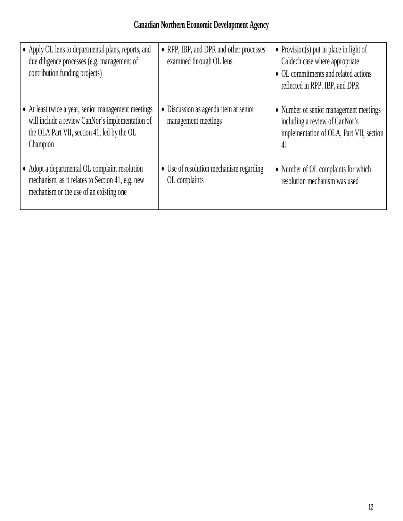| • Apply OL lens to departmental plans, reports, and<br>due diligence processes (e.g. management of<br>contribution funding projects)                               | • RPP, IBP, and DPR and other processes<br>examined through OL lens | • Provision(s) put in place in light of<br>Caldech case where appropriate<br>• OL commitments and related actions<br>reflected in RPP, IBP, and DPR |
|--------------------------------------------------------------------------------------------------------------------------------------------------------------------|---------------------------------------------------------------------|-----------------------------------------------------------------------------------------------------------------------------------------------------|
| • At least twice a year, senior management meetings<br>will include a review CanNor's implementation of<br>the OLA Part VII, section 41, led by the OL<br>Champion | • Discussion as agenda item at senior<br>management meetings        | • Number of senior management meetings<br>including a review of CanNor's<br>implementation of OLA, Part VII, section<br>41                          |
| • Adopt a departmental OL complaint resolution<br>mechanism, as it relates to Section 41, e.g. new<br>mechanism or the use of an existing one                      | • Use of resolution mechanism regarding<br>OL complaints            | • Number of OL complaints for which<br>resolution mechanism was used                                                                                |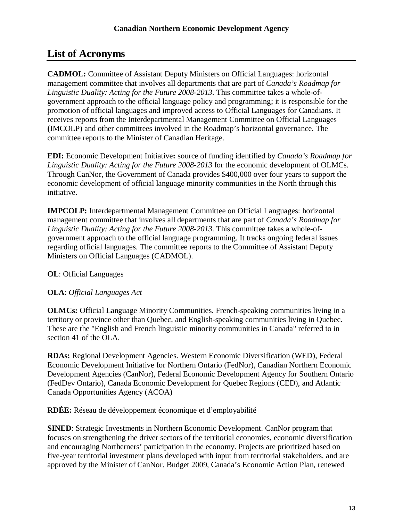# **List of Acronyms**

**CADMOL:** Committee of Assistant Deputy Ministers on Official Languages: horizontal management committee that involves all departments that are part of *Canada's Roadmap for Linguistic Duality: Acting for the Future 2008-2013*. This committee takes a whole-ofgovernment approach to the official language policy and programming; it is responsible for the promotion of official languages and improved access to Official Languages for Canadians. It receives reports from the Interdepartmental Management Committee on Official Languages **(**IMCOLP) and other committees involved in the Roadmap's horizontal governance. The committee reports to the Minister of Canadian Heritage.

**EDI:** Economic Development Initiative**:** source of funding identified by *Canada's Roadmap for Linguistic Duality: Acting for the Future 2008-2013* for the economic development of OLMCs. Through CanNor, the Government of Canada provides \$400,000 over four years to support the economic development of official language minority communities in the North through this initiative.

**IMPCOLP:** Interdepartmental Management Committee on Official Languages: horizontal management committee that involves all departments that are part of *Canada's Roadmap for Linguistic Duality: Acting for the Future 2008-2013*. This committee takes a whole-ofgovernment approach to the official language programming. It tracks ongoing federal issues regarding official languages. The committee reports to the Committee of Assistant Deputy Ministers on Official Languages (CADMOL).

### **OL**: Official Languages

### **OLA**: *Official Languages Act*

**OLMCs:** Official Language Minority Communities. French-speaking communities living in a territory or province other than Quebec, and English-speaking communities living in Quebec. These are the "English and French linguistic minority communities in Canada" referred to in section 41 of the OLA.

**RDAs:** Regional Development Agencies. Western Economic Diversification (WED), Federal Economic Development Initiative for Northern Ontario (FedNor), Canadian Northern Economic Development Agencies (CanNor), Federal Economic Development Agency for Southern Ontario (FedDev Ontario), Canada Economic Development for Quebec Regions (CED), and Atlantic Canada Opportunities Agency (ACOA)

**RDÉE:** Réseau de développement économique et d'employabilité

**SINED**: Strategic Investments in Northern Economic Development. CanNor program that focuses on strengthening the driver sectors of the territorial economies, economic diversification and encouraging Northerners' participation in the economy. Projects are prioritized based on five-year territorial investment plans developed with input from territorial stakeholders, and are approved by the Minister of CanNor. Budget 2009, Canada's Economic Action Plan, renewed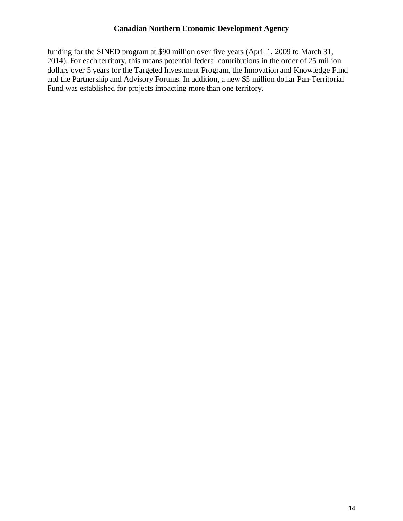funding for the SINED program at \$90 million over five years (April 1, 2009 to March 31, 2014). For each territory, this means potential federal contributions in the order of 25 million dollars over 5 years for the Targeted Investment Program, the Innovation and Knowledge Fund and the Partnership and Advisory Forums. In addition, a new \$5 million dollar Pan-Territorial Fund was established for projects impacting more than one territory.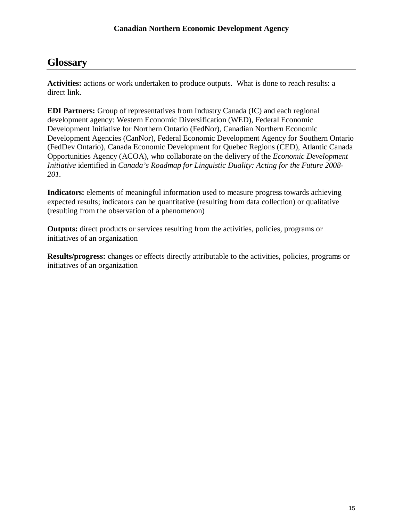## **Glossary**

**Activities:** actions or work undertaken to produce outputs. What is done to reach results: a direct link.

**EDI Partners:** Group of representatives from Industry Canada (IC) and each regional development agency: Western Economic Diversification (WED), Federal Economic Development Initiative for Northern Ontario (FedNor), Canadian Northern Economic Development Agencies (CanNor), Federal Economic Development Agency for Southern Ontario (FedDev Ontario), Canada Economic Development for Quebec Regions (CED), Atlantic Canada Opportunities Agency (ACOA), who collaborate on the delivery of the *Economic Development Initiative* identified in *Canada's Roadmap for Linguistic Duality: Acting for the Future 2008- 201.*

**Indicators:** elements of meaningful information used to measure progress towards achieving expected results; indicators can be quantitative (resulting from data collection) or qualitative (resulting from the observation of a phenomenon)

**Outputs:** direct products or services resulting from the activities, policies, programs or initiatives of an organization

**Results/progress:** changes or effects directly attributable to the activities, policies, programs or initiatives of an organization